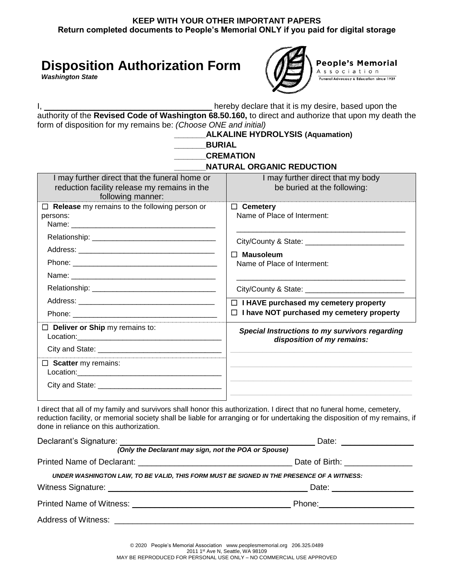## **Disposition Authorization Form**

*Washington State*



I, \_\_\_\_\_\_\_\_\_\_\_\_\_\_\_\_\_\_\_\_\_\_\_\_\_\_\_\_\_\_\_\_\_\_\_\_\_ hereby declare that it is my desire, based upon the authority of the **Revised Code of Washington 68.50.160,** to direct and authorize that upon my death the form of disposition for my remains be: *(Choose ONE and initial)*

|                                                                                                                    | <b>ALKALINE HYDROLYSIS (Aquamation)</b>                                                          |
|--------------------------------------------------------------------------------------------------------------------|--------------------------------------------------------------------------------------------------|
| <b>BURIAL</b>                                                                                                      |                                                                                                  |
|                                                                                                                    | <b>CREMATION</b>                                                                                 |
|                                                                                                                    | <b>NATURAL ORGANIC REDUCTION</b>                                                                 |
| I may further direct that the funeral home or<br>reduction facility release my remains in the<br>following manner: | I may further direct that my body<br>be buried at the following:                                 |
| $\Box$ Release my remains to the following person or<br>persons:                                                   | $\Box$ Cemetery<br>Name of Place of Interment:                                                   |
|                                                                                                                    | $\Box$ Mausoleum<br>Name of Place of Interment:                                                  |
|                                                                                                                    |                                                                                                  |
|                                                                                                                    | $\Box$ I HAVE purchased my cemetery property<br>$\Box$ I have NOT purchased my cemetery property |
| $\Box$ Deliver or Ship my remains to:                                                                              | Special Instructions to my survivors regarding<br>disposition of my remains:                     |
| $\Box$ Scatter my remains:                                                                                         |                                                                                                  |

I direct that all of my family and survivors shall honor this authorization. I direct that no funeral home, cemetery, reduction facility, or memorial society shall be liable for arranging or for undertaking the disposition of my remains, if done in reliance on this authorization.

| (Only the Declarant may sign, not the POA or Spouse)                                      |                                  |
|-------------------------------------------------------------------------------------------|----------------------------------|
|                                                                                           | Date of Birth: _________________ |
| UNDER WASHINGTON LAW, TO BE VALID, THIS FORM MUST BE SIGNED IN THE PRESENCE OF A WITNESS: |                                  |
|                                                                                           |                                  |
|                                                                                           |                                  |
|                                                                                           |                                  |
|                                                                                           |                                  |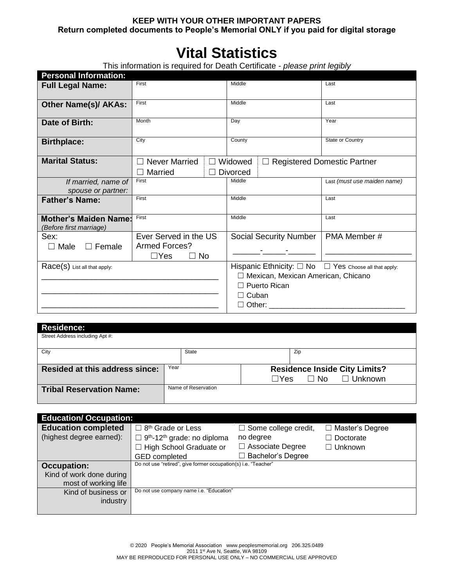# **Vital Statistics**

This information is required for Death Certificate - *please print legibly*

| <b>Personal Information:</b>                            |                                        |                                    |                                                                                              |                                    |                                                                 |
|---------------------------------------------------------|----------------------------------------|------------------------------------|----------------------------------------------------------------------------------------------|------------------------------------|-----------------------------------------------------------------|
| <b>Full Legal Name:</b>                                 | First                                  |                                    | Middle                                                                                       |                                    | Last                                                            |
| <b>Other Name(s)/ AKAs:</b>                             | First                                  |                                    | Middle                                                                                       |                                    | Last                                                            |
| Date of Birth:                                          | Month                                  |                                    | Day                                                                                          |                                    | Year                                                            |
| <b>Birthplace:</b>                                      | City                                   |                                    | County                                                                                       |                                    | State or Country                                                |
| <b>Marital Status:</b>                                  | $\Box$ Never Married<br>$\Box$ Married |                                    | $\Box$ Widowed<br><b>Divorced</b>                                                            |                                    | $\Box$ Registered Domestic Partner                              |
| If married, name of<br>spouse or partner:               | First                                  |                                    | Middle                                                                                       |                                    | Last (must use maiden name)                                     |
| <b>Father's Name:</b>                                   | First                                  |                                    | Middle                                                                                       |                                    | Last                                                            |
| <b>Mother's Maiden Name:</b><br>(Before first marriage) | First                                  |                                    | Middle                                                                                       |                                    | Last                                                            |
| Sex:<br>$\Box$ Male<br>$\Box$ Female                    | <b>Armed Forces?</b><br>$\Box$ Yes     | Ever Served in the US<br>$\Box$ No | Social Security Number   PMA Member #                                                        | <u> 1999 - Jan Jawa Barat, pre</u> |                                                                 |
| Race(S) List all that apply:                            |                                        |                                    | □ Mexican, Mexican American, Chicano<br>$\Box$ Puerto Rican<br>$\Box$ Cuban<br>$\Box$ Other: |                                    | Hispanic Ethnicity: $\Box$ No $\Box$ Yes Choose all that apply: |
| <b>Residence:</b><br>Street Address including Apt #:    |                                        |                                    |                                                                                              |                                    |                                                                 |
| City                                                    |                                        | <b>State</b>                       |                                                                                              | Zip                                |                                                                 |
| <b>Resided at this address since:</b>                   |                                        | Year                               | $\Box$ Yes                                                                                   | $\Box$ No                          | <b>Residence Inside City Limits?</b><br>$\Box$ Unknown          |
| <b>Tribal Reservation Name:</b>                         |                                        | Name of Reservation                |                                                                                              |                                    |                                                                 |

| <b>Education/Occupation:</b> |                                                                |                             |                        |
|------------------------------|----------------------------------------------------------------|-----------------------------|------------------------|
| <b>Education completed</b>   | $\Box$ 8 <sup>th</sup> Grade or Less                           | $\Box$ Some college credit, | $\Box$ Master's Degree |
| (highest degree earned):     | $\Box$ 9 <sup>th</sup> -12 <sup>th</sup> grade: no diploma     | no degree                   | Doctorate              |
|                              | $\Box$ High School Graduate or                                 | $\Box$ Associate Degree     | $\Box$ Unknown         |
|                              | <b>GED</b> completed                                           | Bachelor's Degree           |                        |
| <b>Occupation:</b>           | Do not use "retired", give former occupation(s) i.e. "Teacher" |                             |                        |
| Kind of work done during     |                                                                |                             |                        |
| most of working life         |                                                                |                             |                        |
| Kind of business or          | Do not use company name i.e. "Education"                       |                             |                        |
| industry                     |                                                                |                             |                        |
|                              |                                                                |                             |                        |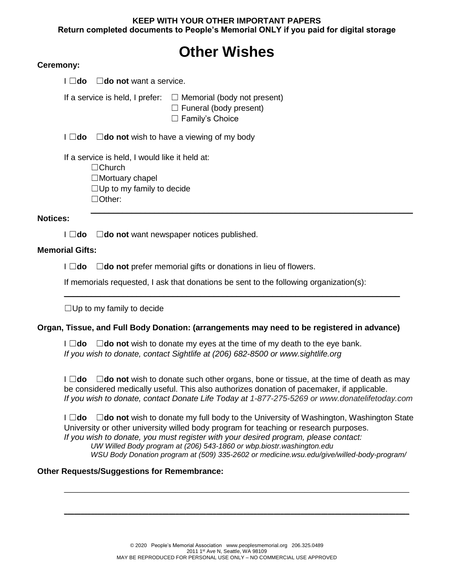# **Other Wishes**

#### **Ceremony:**

| $\square$ do not want a service.<br>⊥do                                                                                                        |                                                                                               |
|------------------------------------------------------------------------------------------------------------------------------------------------|-----------------------------------------------------------------------------------------------|
| If a service is held, I prefer:                                                                                                                | $\Box$ Memorial (body not present)<br>$\Box$ Funeral (body present)<br>$\Box$ Family's Choice |
| l ⊟do                                                                                                                                          | $\Box$ <b>do not</b> wish to have a viewing of my body                                        |
| If a service is held, I would like it held at:<br>$\Box$ Church<br>$\Box$ Mortuary chapel<br>$\Box$ Up to my family to decide<br>$\Box$ Other: |                                                                                               |
| <b>Notices:</b>                                                                                                                                |                                                                                               |

I ☐**do** ☐**do not** want newspaper notices published.

#### **Memorial Gifts:**

I ☐**do** ☐**do not** prefer memorial gifts or donations in lieu of flowers.

If memorials requested, I ask that donations be sent to the following organization(s):

\_\_\_\_\_\_\_\_\_\_\_\_\_\_\_\_\_\_\_\_\_\_\_\_\_\_\_\_\_\_\_\_\_\_\_\_\_\_\_\_\_\_\_\_\_\_\_\_\_\_\_\_\_\_\_\_\_\_\_\_\_\_\_\_\_\_\_\_\_\_\_\_\_\_

 $\Box$ Up to my family to decide

#### **Organ, Tissue, and Full Body Donation: (arrangements may need to be registered in advance)**

I ☐**do** ☐**do not** wish to donate my eyes at the time of my death to the eye bank. *If you wish to donate, contact Sightlife at (206) 682-8500 or www.sightlife.org*

I ☐**do** ☐**do not** wish to donate such other organs, bone or tissue, at the time of death as may be considered medically useful. This also authorizes donation of pacemaker, if applicable. *If you wish to donate, contact Donate Life Today at 1-877-275-5269 or www.donatelifetoday.com*

I ☐**do** ☐**do not** wish to donate my full body to the University of Washington, Washington State University or other university willed body program for teaching or research purposes. *If you wish to donate, you must register with your desired program, please contact: UW Willed Body program at (206) 543-1860 or wbp.biostr.washington.edu WSU Body Donation program at (509) 335-2602 or medicine.wsu.edu/give/willed-body-program/*

 $\mathcal{L}_\mathcal{L} = \mathcal{L}_\mathcal{L} = \mathcal{L}_\mathcal{L} = \mathcal{L}_\mathcal{L} = \mathcal{L}_\mathcal{L} = \mathcal{L}_\mathcal{L} = \mathcal{L}_\mathcal{L} = \mathcal{L}_\mathcal{L} = \mathcal{L}_\mathcal{L} = \mathcal{L}_\mathcal{L} = \mathcal{L}_\mathcal{L} = \mathcal{L}_\mathcal{L} = \mathcal{L}_\mathcal{L} = \mathcal{L}_\mathcal{L} = \mathcal{L}_\mathcal{L} = \mathcal{L}_\mathcal{L} = \mathcal{L}_\mathcal{L}$ 

 $\mathcal{L}_\mathcal{L} = \mathcal{L}_\mathcal{L} = \mathcal{L}_\mathcal{L} = \mathcal{L}_\mathcal{L} = \mathcal{L}_\mathcal{L} = \mathcal{L}_\mathcal{L} = \mathcal{L}_\mathcal{L} = \mathcal{L}_\mathcal{L} = \mathcal{L}_\mathcal{L} = \mathcal{L}_\mathcal{L} = \mathcal{L}_\mathcal{L} = \mathcal{L}_\mathcal{L} = \mathcal{L}_\mathcal{L} = \mathcal{L}_\mathcal{L} = \mathcal{L}_\mathcal{L} = \mathcal{L}_\mathcal{L} = \mathcal{L}_\mathcal{L}$ 

#### **Other Requests/Suggestions for Remembrance:**